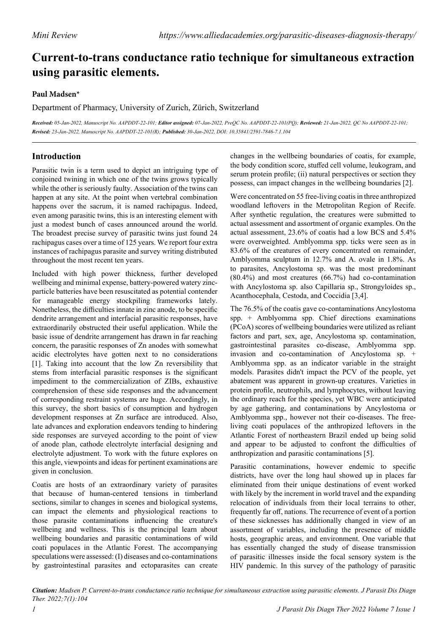# **Current-to-trans conductance ratio technique for simultaneous extraction using parasitic elements.**

## **Paul Madsen\***

Department of Pharmacy, University of Zurich, Zürich, Switzerland

Received: 05-Jan-2022, Manuscript No. AAPDDT-22-101; Editor assigned: 07-Jan-2022, PreOC No. AAPDDT-22-101(PO); Reviewed: 21-Jan-2022, OC No AAPDDT-22-101; *Revised: 23-Jan-2022, Manuscript No. AAPDDT-22-101(R); Published: 30-Jan-2022, DOI: 10.35841/2591-7846-7.1.104*

# **Introduction**

Parasitic twin is a term used to depict an intriguing type of conjoined twining in which one of the twins grows typically while the other is seriously faulty. Association of the twins can happen at any site. At the point when vertebral combination happens over the sacrum, it is named rachipagus. Indeed, even among parasitic twins, this is an interesting element with just a modest bunch of cases announced around the world. The broadest precise survey of parasitic twins just found 24 rachipagus cases over a time of 125 years. We report four extra instances of rachipagus parasite and survey writing distributed throughout the most recent ten years.

Included with high power thickness, further developed wellbeing and minimal expense, battery-powered watery zincparticle batteries have been resuscitated as potential contender for manageable energy stockpiling frameworks lately. Nonetheless, the difficulties innate in zinc anode, to be specific dendrite arrangement and interfacial parasitic responses, have extraordinarily obstructed their useful application. While the basic issue of dendrite arrangement has drawn in far reaching concern, the parasitic responses of Zn anodes with somewhat acidic electrolytes have gotten next to no considerations [1]. Taking into account that the low Zn reversibility that stems from interfacial parasitic responses is the significant impediment to the commercialization of ZIBs, exhaustive comprehension of these side responses and the advancement of corresponding restraint systems are huge. Accordingly, in this survey, the short basics of consumption and hydrogen development responses at Zn surface are introduced. Also, late advances and exploration endeavors tending to hindering side responses are surveyed according to the point of view of anode plan, cathode electrolyte interfacial designing and electrolyte adjustment. To work with the future explores on this angle, viewpoints and ideas for pertinent examinations are given in conclusion.

Coatis are hosts of an extraordinary variety of parasites that because of human-centered tensions in timberland sections, similar to changes in scenes and biological systems, can impact the elements and physiological reactions to those parasite contaminations influencing the creature's wellbeing and wellness. This is the principal learn about wellbeing boundaries and parasitic contaminations of wild coati populaces in the Atlantic Forest. The accompanying speculations were assessed: (I) diseases and co-contaminations by gastrointestinal parasites and ectoparasites can create

changes in the wellbeing boundaries of coatis, for example, the body condition score, stuffed cell volume, leukogram, and serum protein profile; (ii) natural perspectives or section they possess, can impact changes in the wellbeing boundaries [2].

Were concentrated on 55 free-living coatis in three anthropized woodland leftovers in the Metropolitan Region of Recife. After synthetic regulation, the creatures were submitted to actual assessment and assortment of organic examples. On the actual assessment, 23.6% of coatis had a low BCS and 5.4% were overweighted. Amblyomma spp. ticks were seen as in 83.6% of the creatures of every concentrated on remainder, Amblyomma sculptum in 12.7% and A. ovale in 1.8%. As to parasites, Ancylostoma sp. was the most predominant (80.4%) and most creatures (66.7%) had co-contamination with Ancylostoma sp. also Capillaria sp., Strongyloides sp., Acanthocephala, Cestoda, and Coccidia [3,4].

The 76.5% of the coatis gave co-contaminations Ancylostoma spp. + Amblyomma spp. Chief directions examinations (PCoA) scores of wellbeing boundaries were utilized as reliant factors and part, sex, age, Ancylostoma sp. contamination, gastrointestinal parasites co-disease, Amblyomma spp. invasion and co-contamination of Ancylostoma sp. + Amblyomma spp. as an indicator variable in the straight models. Parasites didn't impact the PCV of the people, yet abatement was apparent in grown-up creatures. Varieties in protein profile, neutrophils, and lymphocytes, without leaving the ordinary reach for the species, yet WBC were anticipated by age gathering, and contaminations by Ancylostoma or Amblyomma spp., however not their co-diseases. The freeliving coati populaces of the anthropized leftovers in the Atlantic Forest of northeastern Brazil ended up being solid and appear to be adjusted to confront the difficulties of anthropization and parasitic contaminations [5].

Parasitic contaminations, however endemic to specific districts, have over the long haul showed up in places far eliminated from their unique destinations of event worked with likely by the increment in world travel and the expanding relocation of individuals from their local terrains to other, frequently far off, nations. The recurrence of event of a portion of these sicknesses has additionally changed in view of an assortment of variables, including the presence of middle hosts, geographic areas, and environment. One variable that has essentially changed the study of disease transmission of parasitic illnesses inside the focal sensory system is the HIV pandemic. In this survey of the pathology of parasitic

*Citation: Madsen P. Current-to-trans conductance ratio technique for simultaneous extraction using parasitic elements. J Parasit Dis Diagn Ther. 2022;7(1):104*